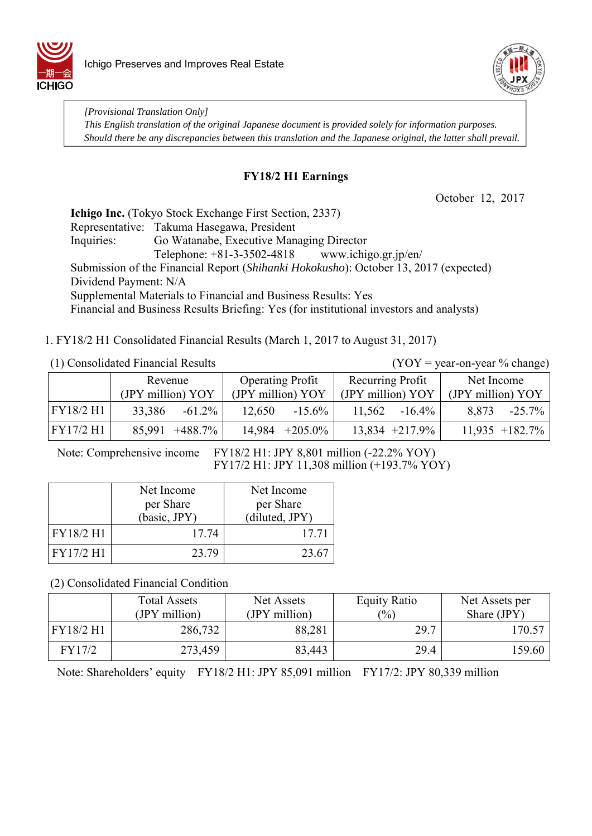



*[Provisional Translation Only] This English translation of the original Japanese document is provided solely for information purposes. Should there be any discrepancies between this translation and the Japanese original, the latter shall prevail.*

### **FY18/2 H1 Earnings**

October 12, 2017

**Ichigo Inc.** (Tokyo Stock Exchange First Section, 2337) Representative: Takuma Hasegawa, President Inquiries: Go Watanabe, Executive Managing Director Telephone: +81-3-3502-4818 www.ichigo.gr.jp/en/ Submission of the Financial Report (*Shihanki Hokokusho*): October 13, 2017 (expected) Dividend Payment: N/A Supplemental Materials to Financial and Business Results: Yes Financial and Business Results Briefing: Yes (for institutional investors and analysts)

### 1. FY18/2 H1 Consolidated Financial Results (March 1, 2017 to August 31, 2017)

(1) Consolidated Financial Results (YOY = year-on-year % change)

|           | Revenue<br>(JPY million) YOY |                   | <b>Operating Profit</b><br>(JPY million) YOY |                  | Recurring Profit<br>(JPY million) YOY |                   | Net Income<br>(JPY million) YOY |                  |
|-----------|------------------------------|-------------------|----------------------------------------------|------------------|---------------------------------------|-------------------|---------------------------------|------------------|
| FY18/2 H1 | 33,386                       | $-61.2\%$         | 12.650                                       | $-15.6\%$        | 11,562                                | $-16.4\%$         | 8.873                           | $-25.7\%$        |
| FY17/2 H1 |                              | $85,991 +488.7\%$ |                                              | $14,984$ +205.0% |                                       | $13,834 +217.9\%$ |                                 | $11,935$ +182.7% |

Note: Comprehensive income FY18/2 H1: JPY 8,801 million (-22.2% YOY)

FY17/2 H1: JPY 11,308 million (+193.7% YOY)

|           | Net Income   | Net Income     |
|-----------|--------------|----------------|
|           | per Share    | per Share      |
|           | (basic, JPY) | (diluted, JPY) |
| FY18/2 H1 | 17.74        | 17.71          |
| FY17/2 H1 | 23.79        | 23.67          |

(2) Consolidated Financial Condition

|           | <b>Total Assets</b><br>(JPY million) | Net Assets<br>(JPY million) | <b>Equity Ratio</b><br>$\frac{(0)}{0}$ | Net Assets per<br>Share (JPY) |
|-----------|--------------------------------------|-----------------------------|----------------------------------------|-------------------------------|
| FY18/2 H1 | 286,732                              | 88,281                      | 29.7                                   | 170.57                        |
| FY17/2    | 273,459                              | 83,443                      | 29.4                                   | 159.60                        |

Note: Shareholders' equity FY18/2 H1: JPY 85,091 million FY17/2: JPY 80,339 million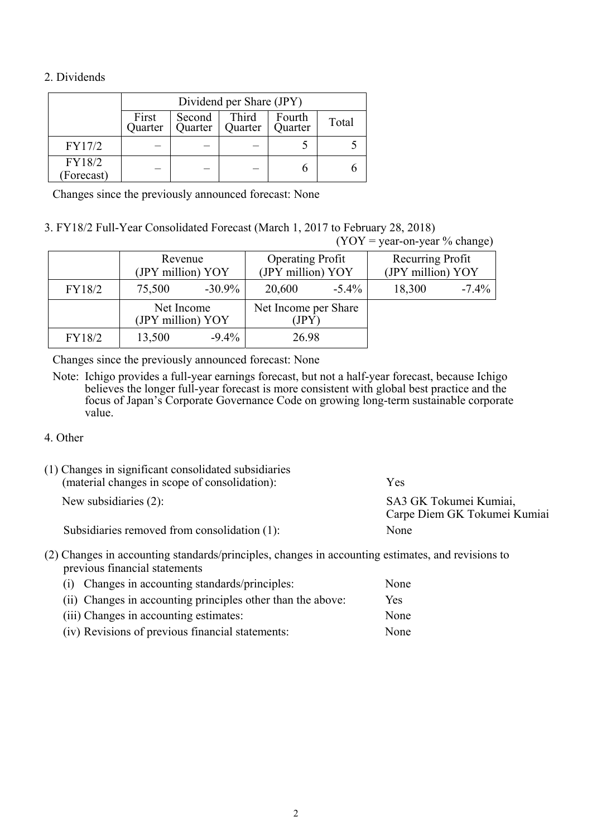### 2. Dividends

|                      | Dividend per Share (JPY) |                   |                  |                   |       |  |
|----------------------|--------------------------|-------------------|------------------|-------------------|-------|--|
|                      | First<br>Quarter         | Second<br>Quarter | Third<br>Quarter | Fourth<br>Quarter | Total |  |
| FY17/2               |                          |                   |                  |                   |       |  |
| FY18/2<br>(Forecast) |                          |                   |                  |                   |       |  |

Changes since the previously announced forecast: None

3. FY18/2 Full-Year Consolidated Forecast (March 1, 2017 to February 28, 2018)  $(VOV = year-on-year % change)$ 

|        |                                 |           |                                              |          | $(1 \cup 1 - y \text{val}-0)$ $(0 \text{ t} \text{tail} \text{g} \text{u})$ |         |
|--------|---------------------------------|-----------|----------------------------------------------|----------|-----------------------------------------------------------------------------|---------|
|        | Revenue<br>(JPY million) YOY    |           | <b>Operating Profit</b><br>(JPY million) YOY |          | Recurring Profit<br>(JPY million) YOY                                       |         |
| FY18/2 | 75,500                          | $-30.9\%$ | 20,600                                       | $-5.4\%$ | 18,300                                                                      | $-7.4%$ |
|        | Net Income<br>(JPY million) YOY |           | Net Income per Share<br>(JPY)                |          |                                                                             |         |
| FY18/2 | 13,500                          | $-9.4\%$  | 26.98                                        |          |                                                                             |         |

Changes since the previously announced forecast: None

Note: Ichigo provides a full-year earnings forecast, but not a half-year forecast, because Ichigo believes the longer full-year forecast is more consistent with global best practice and the focus of Japan's Corporate Governance Code on growing long-term sustainable corporate value.

#### 4. Other

| (1) Changes in significant consolidated subsidiaries<br>(material changes in scope of consolidation): | Yes                                                    |
|-------------------------------------------------------------------------------------------------------|--------------------------------------------------------|
| New subsidiaries $(2)$ :                                                                              | SA3 GK Tokumei Kumiai,<br>Carpe Diem GK Tokumei Kumiai |
| Subsidiaries removed from consolidation (1):                                                          | None                                                   |

(2) Changes in accounting standards/principles, changes in accounting estimates, and revisions to previous financial statements

| (i) Changes in accounting standards/principles:             | None |
|-------------------------------------------------------------|------|
| (ii) Changes in accounting principles other than the above: | Yes. |
| (iii) Changes in accounting estimates:                      | None |
| (iv) Revisions of previous financial statements:            | None |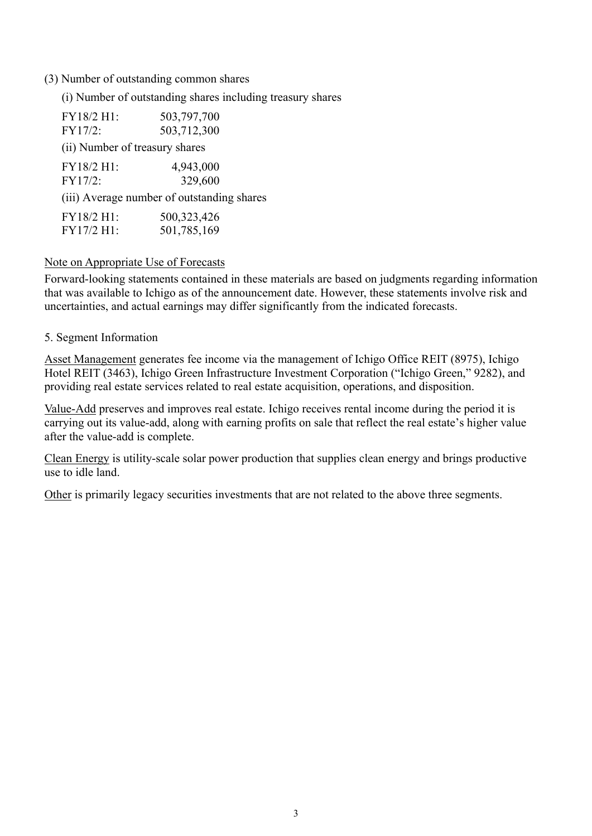### (3) Number of outstanding common shares

(i) Number of outstanding shares including treasury shares

| FY18/2 H1:                     | 503,797,700                                |
|--------------------------------|--------------------------------------------|
| FY17/2:                        | 503,712,300                                |
| (ii) Number of treasury shares |                                            |
| FY18/2 H1:                     | 4,943,000                                  |
| FY17/2:                        | 329,600                                    |
|                                | (iii) Average number of outstanding shares |
| FY18/2 H1:                     | 500,323,426                                |
| FY17/2 H1:                     | 501,785,169                                |

### Note on Appropriate Use of Forecasts

Forward-looking statements contained in these materials are based on judgments regarding information that was available to Ichigo as of the announcement date. However, these statements involve risk and uncertainties, and actual earnings may differ significantly from the indicated forecasts.

### 5. Segment Information

Asset Management generates fee income via the management of Ichigo Office REIT (8975), Ichigo Hotel REIT (3463), Ichigo Green Infrastructure Investment Corporation ("Ichigo Green," 9282), and providing real estate services related to real estate acquisition, operations, and disposition.

Value-Add preserves and improves real estate. Ichigo receives rental income during the period it is carrying out its value-add, along with earning profits on sale that reflect the real estate's higher value after the value-add is complete.

Clean Energy is utility-scale solar power production that supplies clean energy and brings productive use to idle land.

Other is primarily legacy securities investments that are not related to the above three segments.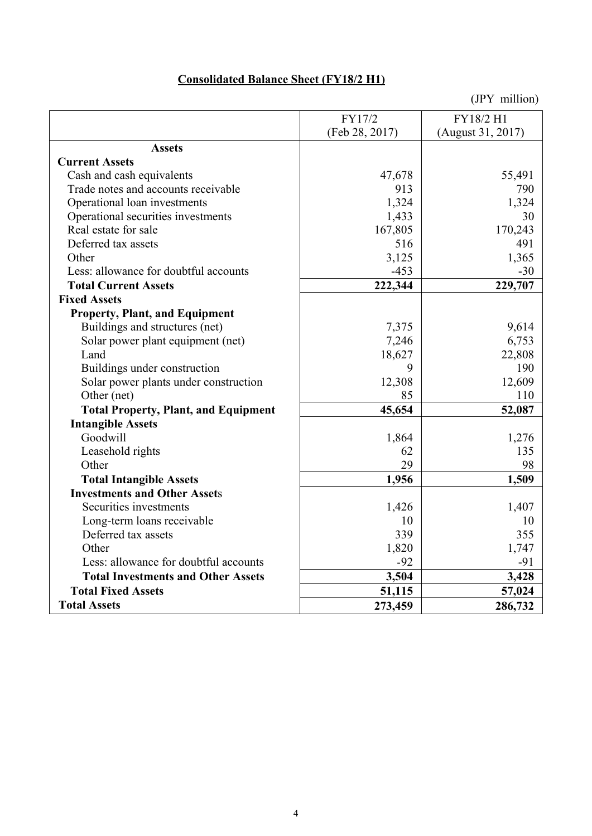## **Consolidated Balance Sheet (FY18/2 H1)**

|                                             | FY17/2         | FY18/2 H1         |
|---------------------------------------------|----------------|-------------------|
|                                             | (Feb 28, 2017) | (August 31, 2017) |
| <b>Assets</b>                               |                |                   |
| <b>Current Assets</b>                       |                |                   |
| Cash and cash equivalents                   | 47,678         | 55,491            |
| Trade notes and accounts receivable         | 913            | 790               |
| Operational loan investments                | 1,324          | 1,324             |
| Operational securities investments          | 1,433          | 30                |
| Real estate for sale                        | 167,805        | 170,243           |
| Deferred tax assets                         | 516            | 491               |
| Other                                       | 3,125          | 1,365             |
| Less: allowance for doubtful accounts       | $-453$         | $-30$             |
| <b>Total Current Assets</b>                 | 222,344        | 229,707           |
| <b>Fixed Assets</b>                         |                |                   |
| <b>Property, Plant, and Equipment</b>       |                |                   |
| Buildings and structures (net)              | 7,375          | 9,614             |
| Solar power plant equipment (net)           | 7,246          | 6,753             |
| Land                                        | 18,627         | 22,808            |
| Buildings under construction                | 9              | 190               |
| Solar power plants under construction       | 12,308         | 12,609            |
| Other (net)                                 | 85             | 110               |
| <b>Total Property, Plant, and Equipment</b> | 45,654         | 52,087            |
| <b>Intangible Assets</b>                    |                |                   |
| Goodwill                                    | 1,864          | 1,276             |
| Leasehold rights                            | 62             | 135               |
| Other                                       | 29             | 98                |
| <b>Total Intangible Assets</b>              | 1,956          | 1,509             |
| <b>Investments and Other Assets</b>         |                |                   |
| Securities investments                      | 1,426          | 1,407             |
| Long-term loans receivable                  | 10             | 10                |
| Deferred tax assets                         | 339            | 355               |
| Other                                       | 1,820          | 1,747             |
| Less: allowance for doubtful accounts       | $-92$          | $-91$             |
| <b>Total Investments and Other Assets</b>   | 3,504          | 3,428             |
| <b>Total Fixed Assets</b>                   | 51,115         | 57,024            |
| <b>Total Assets</b>                         | 273,459        | 286,732           |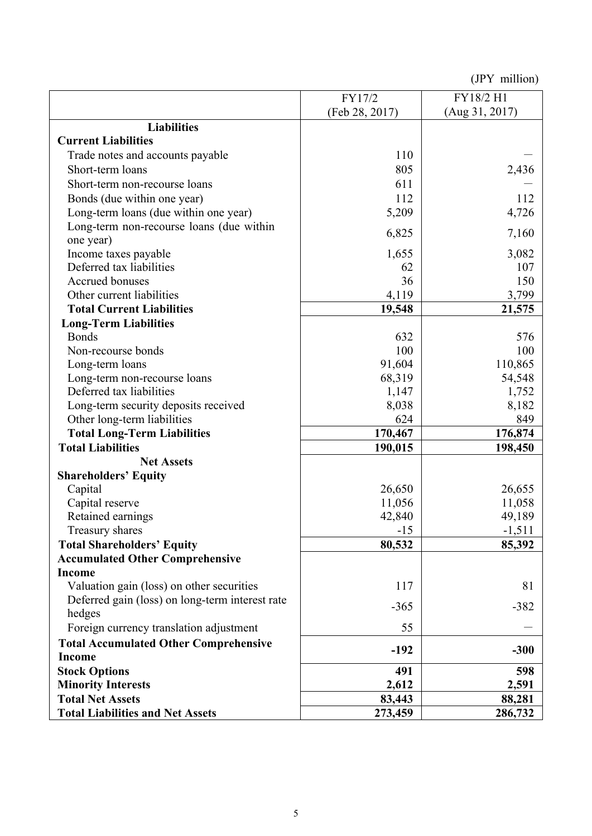|                                                 | FY17/2         | FY18/2 H1      |
|-------------------------------------------------|----------------|----------------|
|                                                 | (Feb 28, 2017) | (Aug 31, 2017) |
| <b>Liabilities</b>                              |                |                |
| <b>Current Liabilities</b>                      |                |                |
| Trade notes and accounts payable                | 110            |                |
| Short-term loans                                | 805            | 2,436          |
| Short-term non-recourse loans                   | 611            |                |
| Bonds (due within one year)                     | 112            | 112            |
| Long-term loans (due within one year)           | 5,209          | 4,726          |
| Long-term non-recourse loans (due within        |                |                |
| one year)                                       | 6,825          | 7,160          |
| Income taxes payable                            | 1,655          | 3,082          |
| Deferred tax liabilities                        | 62             | 107            |
| Accrued bonuses                                 | 36             | 150            |
| Other current liabilities                       | 4,119          | 3,799          |
| <b>Total Current Liabilities</b>                | 19,548         | 21,575         |
| <b>Long-Term Liabilities</b>                    |                |                |
| <b>Bonds</b>                                    | 632            | 576            |
| Non-recourse bonds                              | 100            | 100            |
| Long-term loans                                 | 91,604         | 110,865        |
| Long-term non-recourse loans                    | 68,319         | 54,548         |
| Deferred tax liabilities                        | 1,147          | 1,752          |
| Long-term security deposits received            | 8,038          | 8,182          |
| Other long-term liabilities                     | 624            | 849            |
| <b>Total Long-Term Liabilities</b>              | 170,467        | 176,874        |
| <b>Total Liabilities</b>                        | 190,015        | 198,450        |
| <b>Net Assets</b>                               |                |                |
| <b>Shareholders' Equity</b>                     |                |                |
| Capital                                         | 26,650         | 26,655         |
| Capital reserve                                 | 11,056         | 11,058         |
| Retained earnings                               | 42,840         | 49,189         |
| Treasury shares                                 | $-15$          | $-1,511$       |
| <b>Total Shareholders' Equity</b>               | 80,532         | 85,392         |
| <b>Accumulated Other Comprehensive</b>          |                |                |
| <b>Income</b>                                   |                |                |
| Valuation gain (loss) on other securities       | 117            | 81             |
| Deferred gain (loss) on long-term interest rate | $-365$         | $-382$         |
| hedges                                          |                |                |
| Foreign currency translation adjustment         | 55             |                |
| <b>Total Accumulated Other Comprehensive</b>    | $-192$         | $-300$         |
| <b>Income</b>                                   |                |                |
| <b>Stock Options</b>                            | 491            | 598            |
| <b>Minority Interests</b>                       | 2,612          | 2,591          |
| <b>Total Net Assets</b>                         | 83,443         | 88,281         |
| <b>Total Liabilities and Net Assets</b>         | 273,459        | 286,732        |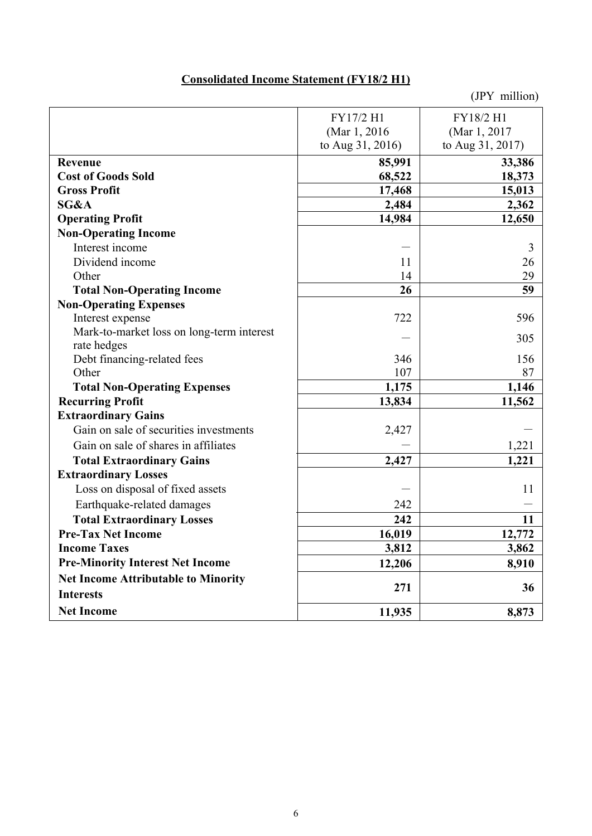## **Consolidated Income Statement (FY18/2 H1)**

|                                            | FY17/2 H1        | FY18/2 H1        |
|--------------------------------------------|------------------|------------------|
|                                            | (Mar 1, 2016)    | (Mar 1, 2017)    |
|                                            | to Aug 31, 2016) | to Aug 31, 2017) |
| Revenue                                    | 85,991           | 33,386           |
| <b>Cost of Goods Sold</b>                  | 68,522           | 18,373           |
| <b>Gross Profit</b>                        | 17,468           | 15,013           |
| SG&A                                       | 2,484            | 2,362            |
| <b>Operating Profit</b>                    | 14,984           | 12,650           |
| <b>Non-Operating Income</b>                |                  |                  |
| Interest income                            |                  | 3                |
| Dividend income                            | 11               | 26               |
| Other                                      | 14               | 29               |
| <b>Total Non-Operating Income</b>          | 26               | 59               |
| <b>Non-Operating Expenses</b>              |                  |                  |
| Interest expense                           | 722              | 596              |
| Mark-to-market loss on long-term interest  |                  | 305              |
| rate hedges                                |                  |                  |
| Debt financing-related fees                | 346              | 156              |
| Other                                      | 107              | 87               |
| <b>Total Non-Operating Expenses</b>        | 1,175            | 1,146            |
| <b>Recurring Profit</b>                    | 13,834           | 11,562           |
| <b>Extraordinary Gains</b>                 |                  |                  |
| Gain on sale of securities investments     | 2,427            |                  |
| Gain on sale of shares in affiliates       |                  | 1,221            |
| <b>Total Extraordinary Gains</b>           | 2,427            | 1,221            |
| <b>Extraordinary Losses</b>                |                  |                  |
| Loss on disposal of fixed assets           |                  | 11               |
| Earthquake-related damages                 | 242              |                  |
| <b>Total Extraordinary Losses</b>          | 242              | 11               |
| <b>Pre-Tax Net Income</b>                  | 16,019           | 12,772           |
| <b>Income Taxes</b>                        | 3,812            | 3,862            |
| <b>Pre-Minority Interest Net Income</b>    | 12,206           | 8,910            |
| <b>Net Income Attributable to Minority</b> | 271              | 36               |
| <b>Interests</b>                           |                  |                  |
| <b>Net Income</b>                          | 11,935           | 8,873            |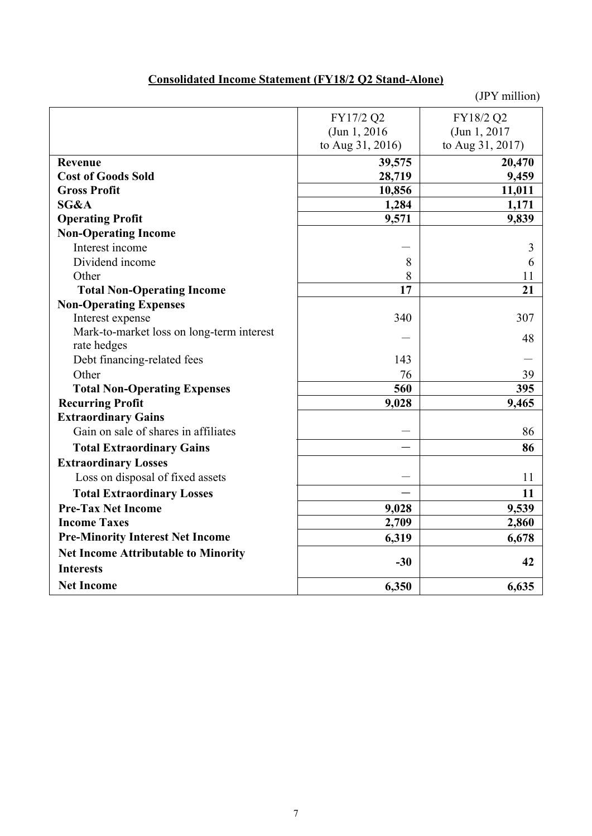# **Consolidated Income Statement (FY18/2 Q2 Stand-Alone)**

|                                            | FY17/2 Q2        | FY18/2 Q2        |
|--------------------------------------------|------------------|------------------|
|                                            | (Jun 1, 2016)    | (Jun 1, 2017)    |
|                                            | to Aug 31, 2016) | to Aug 31, 2017) |
| Revenue                                    | 39,575           | 20,470           |
| <b>Cost of Goods Sold</b>                  | 28,719           | 9,459            |
| <b>Gross Profit</b>                        | 10,856           | 11,011           |
| SG&A                                       | 1,284            | 1,171            |
| <b>Operating Profit</b>                    | 9,571            | 9,839            |
| <b>Non-Operating Income</b>                |                  |                  |
| Interest income                            |                  | 3                |
| Dividend income                            | 8                | 6                |
| Other                                      | 8                | 11               |
| <b>Total Non-Operating Income</b>          | 17               | 21               |
| <b>Non-Operating Expenses</b>              |                  |                  |
| Interest expense                           | 340              | 307              |
| Mark-to-market loss on long-term interest  |                  | 48               |
| rate hedges                                |                  |                  |
| Debt financing-related fees                | 143              |                  |
| Other                                      | 76               | 39               |
| <b>Total Non-Operating Expenses</b>        | 560              | 395              |
| <b>Recurring Profit</b>                    | 9,028            | 9,465            |
| <b>Extraordinary Gains</b>                 |                  |                  |
| Gain on sale of shares in affiliates       |                  | 86               |
| <b>Total Extraordinary Gains</b>           |                  | 86               |
| <b>Extraordinary Losses</b>                |                  |                  |
| Loss on disposal of fixed assets           |                  | 11               |
| <b>Total Extraordinary Losses</b>          |                  | 11               |
| <b>Pre-Tax Net Income</b>                  | 9,028            | 9,539            |
| <b>Income Taxes</b>                        | 2,709            | 2,860            |
| <b>Pre-Minority Interest Net Income</b>    | 6,319            | 6,678            |
| <b>Net Income Attributable to Minority</b> |                  |                  |
| <b>Interests</b>                           | $-30$            | 42               |
| <b>Net Income</b>                          | 6,350            | 6,635            |
|                                            |                  |                  |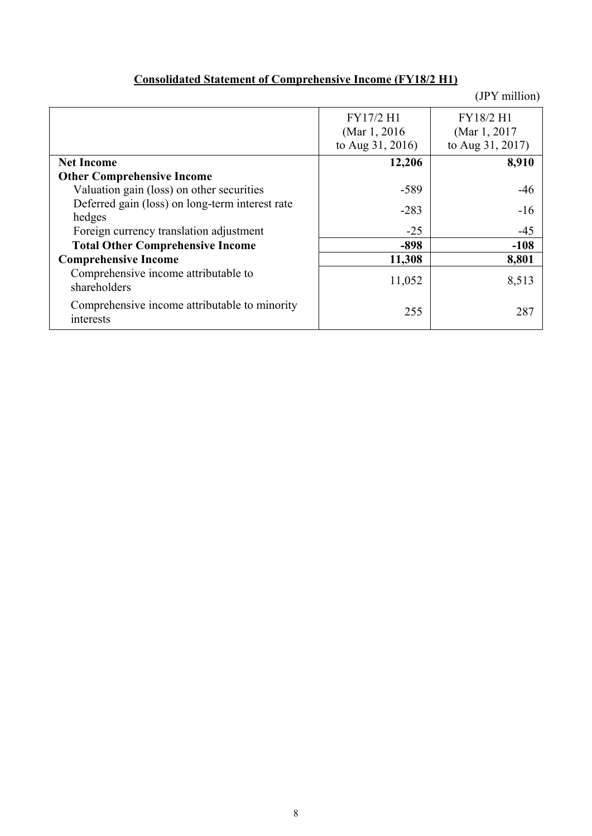# **Consolidated Statement of Comprehensive Income (FY18/2 H1)**

|                                                            | FY17/2 H1        | FY18/2 H1        |
|------------------------------------------------------------|------------------|------------------|
|                                                            | (Mar 1, 2016)    | (Mar 1, 2017)    |
|                                                            | to Aug 31, 2016) | to Aug 31, 2017) |
| <b>Net Income</b>                                          | 12,206           | 8,910            |
| <b>Other Comprehensive Income</b>                          |                  |                  |
| Valuation gain (loss) on other securities                  | $-589$           | $-46$            |
| Deferred gain (loss) on long-term interest rate            | $-283$           | $-16$            |
| hedges                                                     |                  |                  |
| Foreign currency translation adjustment                    | $-25$            | $-45$            |
| <b>Total Other Comprehensive Income</b>                    | $-898$           | $-108$           |
| <b>Comprehensive Income</b>                                | 11,308           | 8,801            |
| Comprehensive income attributable to                       | 11,052           | 8,513            |
| shareholders                                               |                  |                  |
| Comprehensive income attributable to minority<br>interests | 255              | 287              |
|                                                            |                  |                  |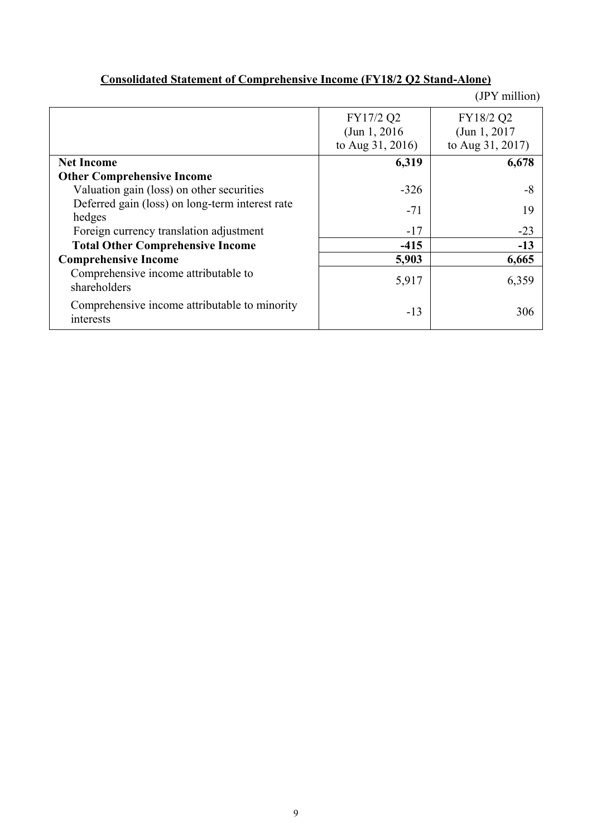|                                                            |                                                | (JPY million)                                  |
|------------------------------------------------------------|------------------------------------------------|------------------------------------------------|
|                                                            | FY17/2 Q2<br>(Jun 1, 2016)<br>to Aug 31, 2016) | FY18/2 Q2<br>(Jun 1, 2017)<br>to Aug 31, 2017) |
| <b>Net Income</b>                                          | 6,319                                          | 6,678                                          |
| <b>Other Comprehensive Income</b>                          |                                                |                                                |
| Valuation gain (loss) on other securities                  | $-326$                                         | -8                                             |
| Deferred gain (loss) on long-term interest rate<br>hedges  | $-71$                                          | 19                                             |
| Foreign currency translation adjustment                    | $-17$                                          | $-23$                                          |
| <b>Total Other Comprehensive Income</b>                    | $-415$                                         | $-13$                                          |
| <b>Comprehensive Income</b>                                | 5,903                                          | 6,665                                          |
| Comprehensive income attributable to<br>shareholders       | 5,917                                          | 6,359                                          |
| Comprehensive income attributable to minority<br>interests | $-13$                                          | 306                                            |

## **Consolidated Statement of Comprehensive Income (FY18/2 Q2 Stand-Alone)**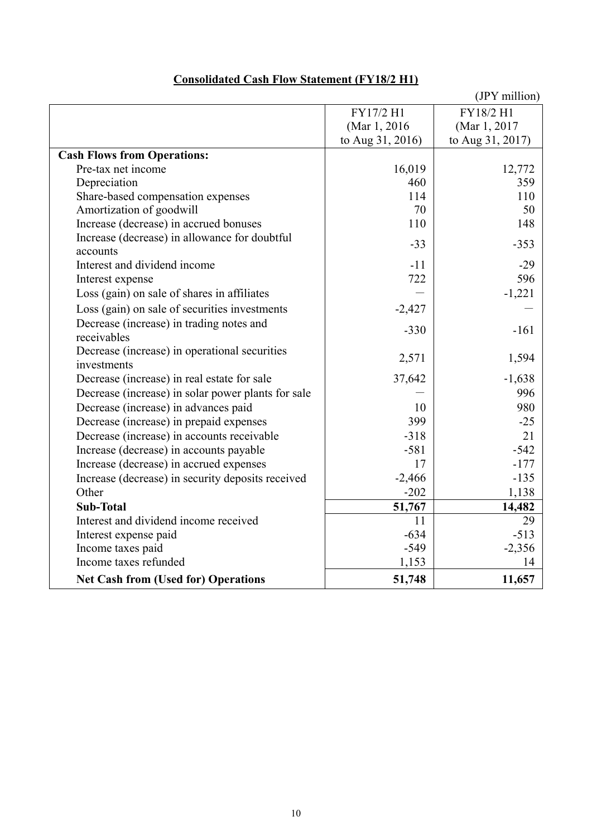|                                                           |                  | (JPY million)    |
|-----------------------------------------------------------|------------------|------------------|
|                                                           | FY17/2 H1        | FY18/2 H1        |
|                                                           | (Mar 1, 2016)    | (Mar 1, 2017)    |
|                                                           | to Aug 31, 2016) | to Aug 31, 2017) |
| <b>Cash Flows from Operations:</b>                        |                  |                  |
| Pre-tax net income                                        | 16,019           | 12,772           |
| Depreciation                                              | 460              | 359              |
| Share-based compensation expenses                         | 114              | 110              |
| Amortization of goodwill                                  | 70               | 50               |
| Increase (decrease) in accrued bonuses                    | 110              | 148              |
| Increase (decrease) in allowance for doubtful<br>accounts | $-33$            | $-353$           |
| Interest and dividend income                              | $-11$            | $-29$            |
| Interest expense                                          | 722              | 596              |
| Loss (gain) on sale of shares in affiliates               |                  | $-1,221$         |
| Loss (gain) on sale of securities investments             | $-2,427$         |                  |
| Decrease (increase) in trading notes and<br>receivables   | $-330$           | $-161$           |
| Decrease (increase) in operational securities             | 2,571            | 1,594            |
| investments                                               |                  |                  |
| Decrease (increase) in real estate for sale               | 37,642           | $-1,638$         |
| Decrease (increase) in solar power plants for sale        |                  | 996              |
| Decrease (increase) in advances paid                      | 10               | 980              |
| Decrease (increase) in prepaid expenses                   | 399              | $-25$            |
| Decrease (increase) in accounts receivable                | $-318$           | 21               |
| Increase (decrease) in accounts payable                   | $-581$           | $-542$           |
| Increase (decrease) in accrued expenses                   | 17               | $-177$           |
| Increase (decrease) in security deposits received         | $-2,466$         | $-135$           |
| Other                                                     | $-202$           | 1,138            |
| <b>Sub-Total</b>                                          | 51,767           | 14,482           |
| Interest and dividend income received                     | 11               | 29               |
| Interest expense paid                                     | $-634$           | $-513$           |
| Income taxes paid                                         | $-549$           | $-2,356$         |
| Income taxes refunded                                     | 1,153            | 14               |
| <b>Net Cash from (Used for) Operations</b>                | 51,748           | 11,657           |

## **Consolidated Cash Flow Statement (FY18/2 H1)**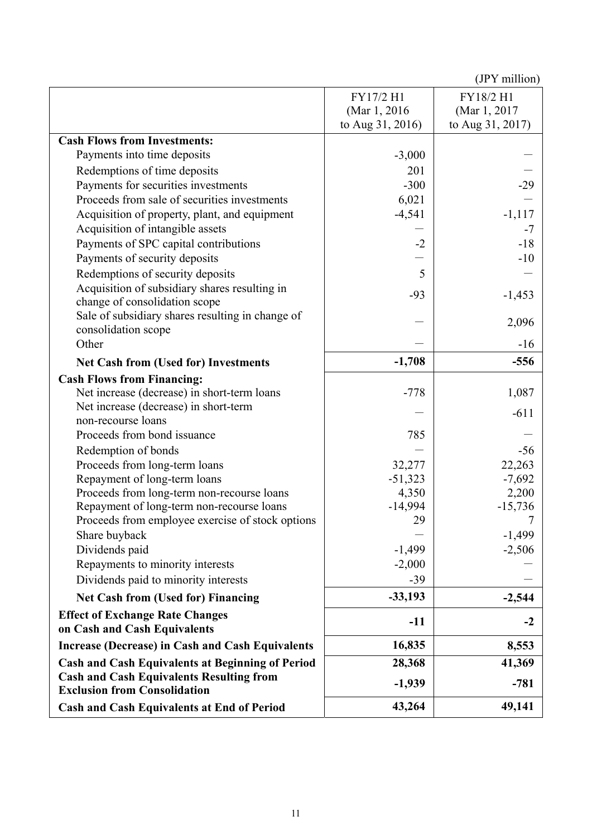|                                                                                        | FY17/2 H1        | FY18/2 H1            |
|----------------------------------------------------------------------------------------|------------------|----------------------|
|                                                                                        | (Mar 1, 2016)    | (Mar 1, 2017)        |
|                                                                                        | to Aug 31, 2016) | to Aug 31, 2017)     |
| <b>Cash Flows from Investments:</b>                                                    |                  |                      |
| Payments into time deposits                                                            | $-3,000$         |                      |
| Redemptions of time deposits                                                           | 201              |                      |
| Payments for securities investments                                                    | $-300$           | $-29$                |
| Proceeds from sale of securities investments                                           | 6,021            |                      |
| Acquisition of property, plant, and equipment                                          | $-4,541$         | $-1,117$             |
| Acquisition of intangible assets                                                       |                  | $-7$                 |
| Payments of SPC capital contributions                                                  | $-2$             | $-18$                |
| Payments of security deposits                                                          |                  | $-10$                |
| Redemptions of security deposits                                                       | 5                |                      |
| Acquisition of subsidiary shares resulting in                                          | $-93$            | $-1,453$             |
| change of consolidation scope                                                          |                  |                      |
| Sale of subsidiary shares resulting in change of                                       |                  | 2,096                |
| consolidation scope                                                                    |                  |                      |
| Other                                                                                  |                  | $-16$                |
| <b>Net Cash from (Used for) Investments</b>                                            | $-1,708$         | $-556$               |
| <b>Cash Flows from Financing:</b>                                                      |                  |                      |
| Net increase (decrease) in short-term loans                                            | $-778$           | 1,087                |
| Net increase (decrease) in short-term                                                  |                  | $-611$               |
| non-recourse loans                                                                     |                  |                      |
| Proceeds from bond issuance                                                            | 785              |                      |
| Redemption of bonds                                                                    |                  | $-56$                |
| Proceeds from long-term loans                                                          | 32,277           | 22,263               |
| Repayment of long-term loans                                                           | $-51,323$        | $-7,692$             |
| Proceeds from long-term non-recourse loans                                             | 4,350            | 2,200                |
| Repayment of long-term non-recourse loans                                              | $-14,994$        | $-15,736$            |
| Proceeds from employee exercise of stock options                                       | 29               |                      |
| Share buyback<br>Dividends paid                                                        | $-1,499$         | $-1,499$<br>$-2,506$ |
| Repayments to minority interests                                                       | $-2,000$         |                      |
| Dividends paid to minority interests                                                   | $-39$            |                      |
|                                                                                        |                  |                      |
| <b>Net Cash from (Used for) Financing</b>                                              | $-33,193$        | $-2,544$             |
| <b>Effect of Exchange Rate Changes</b><br>on Cash and Cash Equivalents                 | $-11$            | $-2$                 |
| <b>Increase (Decrease) in Cash and Cash Equivalents</b>                                | 16,835           | 8,553                |
| <b>Cash and Cash Equivalents at Beginning of Period</b>                                | 28,368           | 41,369               |
| <b>Cash and Cash Equivalents Resulting from</b><br><b>Exclusion from Consolidation</b> | $-1,939$         | $-781$               |
| <b>Cash and Cash Equivalents at End of Period</b>                                      | 43,264           | 49,141               |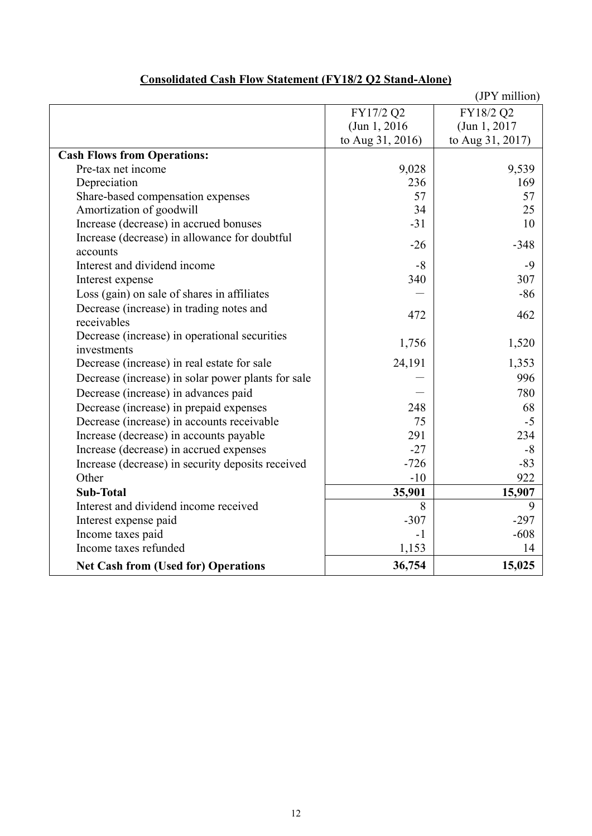|                                                    |                  | (JPY million)    |
|----------------------------------------------------|------------------|------------------|
|                                                    | FY17/2 Q2        | FY18/2 Q2        |
|                                                    | (Jun 1, 2016)    | (Jun 1, 2017)    |
|                                                    | to Aug 31, 2016) | to Aug 31, 2017) |
| <b>Cash Flows from Operations:</b>                 |                  |                  |
| Pre-tax net income                                 | 9,028            | 9,539            |
| Depreciation                                       | 236              | 169              |
| Share-based compensation expenses                  | 57               | 57               |
| Amortization of goodwill                           | 34               | 25               |
| Increase (decrease) in accrued bonuses             | $-31$            | 10               |
| Increase (decrease) in allowance for doubtful      | $-26$            | $-348$           |
| accounts                                           |                  |                  |
| Interest and dividend income                       | $-8$             | $-9$             |
| Interest expense                                   | 340              | 307              |
| Loss (gain) on sale of shares in affiliates        |                  | $-86$            |
| Decrease (increase) in trading notes and           | 472              | 462              |
| receivables                                        |                  |                  |
| Decrease (increase) in operational securities      | 1,756            | 1,520            |
| investments                                        |                  |                  |
| Decrease (increase) in real estate for sale        | 24,191           | 1,353            |
| Decrease (increase) in solar power plants for sale |                  | 996              |
| Decrease (increase) in advances paid               |                  | 780              |
| Decrease (increase) in prepaid expenses            | 248              | 68               |
| Decrease (increase) in accounts receivable         | 75               | $-5$             |
| Increase (decrease) in accounts payable            | 291              | 234              |
| Increase (decrease) in accrued expenses            | $-27$            | $-8$             |
| Increase (decrease) in security deposits received  | $-726$           | $-83$            |
| Other                                              | $-10$            | 922              |
| <b>Sub-Total</b>                                   | 35,901           | 15,907           |
| Interest and dividend income received              | 8                | 9                |
| Interest expense paid                              | $-307$           | $-297$           |
| Income taxes paid                                  | $-1$             | $-608$           |
| Income taxes refunded                              | 1,153            | 14               |
| <b>Net Cash from (Used for) Operations</b>         | 36,754           | 15,025           |

# **Consolidated Cash Flow Statement (FY18/2 Q2 Stand-Alone)**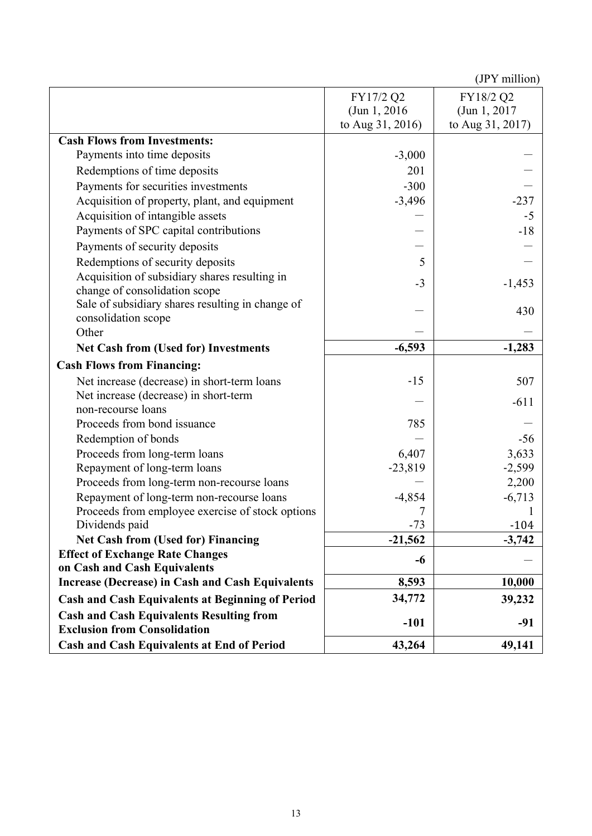|                                                         | FY17/2 Q2        | FY18/2 Q2        |
|---------------------------------------------------------|------------------|------------------|
|                                                         | (Jun 1, 2016)    | (Jun 1, 2017)    |
|                                                         | to Aug 31, 2016) | to Aug 31, 2017) |
| <b>Cash Flows from Investments:</b>                     |                  |                  |
| Payments into time deposits                             | $-3,000$         |                  |
| Redemptions of time deposits                            | 201              |                  |
| Payments for securities investments                     | $-300$           |                  |
| Acquisition of property, plant, and equipment           | $-3,496$         | $-237$           |
| Acquisition of intangible assets                        |                  | $-5$             |
| Payments of SPC capital contributions                   |                  | $-18$            |
| Payments of security deposits                           |                  |                  |
| Redemptions of security deposits                        | 5                |                  |
| Acquisition of subsidiary shares resulting in           |                  |                  |
| change of consolidation scope                           | $-3$             | $-1,453$         |
| Sale of subsidiary shares resulting in change of        |                  | 430              |
| consolidation scope                                     |                  |                  |
| Other                                                   |                  |                  |
| <b>Net Cash from (Used for) Investments</b>             | $-6,593$         | $-1,283$         |
| <b>Cash Flows from Financing:</b>                       |                  |                  |
| Net increase (decrease) in short-term loans             | $-15$            | 507              |
| Net increase (decrease) in short-term                   |                  | $-611$           |
| non-recourse loans                                      |                  |                  |
| Proceeds from bond issuance                             | 785              |                  |
| Redemption of bonds                                     |                  | $-56$            |
| Proceeds from long-term loans                           | 6,407            | 3,633            |
| Repayment of long-term loans                            | $-23,819$        | $-2,599$         |
| Proceeds from long-term non-recourse loans              |                  | 2,200            |
| Repayment of long-term non-recourse loans               | $-4,854$         | $-6,713$         |
| Proceeds from employee exercise of stock options        |                  |                  |
| Dividends paid                                          | $-73$            | $-104$           |
| <b>Net Cash from (Used for) Financing</b>               | $-21,562$        | $-3,742$         |
| <b>Effect of Exchange Rate Changes</b>                  | -6               |                  |
| on Cash and Cash Equivalents                            |                  |                  |
| <b>Increase (Decrease) in Cash and Cash Equivalents</b> | 8,593            | 10,000           |
| <b>Cash and Cash Equivalents at Beginning of Period</b> | 34,772           | 39,232           |
| <b>Cash and Cash Equivalents Resulting from</b>         | $-101$           | $-91$            |
| <b>Exclusion from Consolidation</b>                     |                  |                  |
| <b>Cash and Cash Equivalents at End of Period</b>       | 43,264           | 49,141           |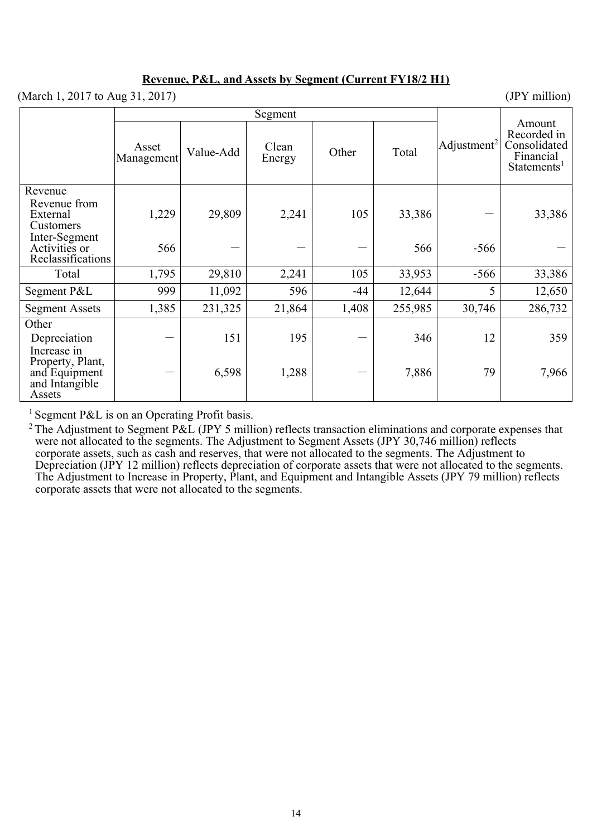### **Revenue, P&L, and Assets by Segment (Current FY18/2 H1)**

(March 1, 2017 to Aug 31, 2017) (JPY million)

|                                                               | Segment             |           |                 |       |         |                         |                                                                               |
|---------------------------------------------------------------|---------------------|-----------|-----------------|-------|---------|-------------------------|-------------------------------------------------------------------------------|
|                                                               | Asset<br>Management | Value-Add | Clean<br>Energy | Other | Total   | Adjustment <sup>2</sup> | Amount<br>Recorded in<br>Consolidated<br>Financial<br>Statements <sup>1</sup> |
| Revenue<br>Revenue from<br>External<br>Customers              | 1,229               | 29,809    | 2,241           | 105   | 33,386  |                         | 33,386                                                                        |
| Inter-Segment<br>Activities or<br>Reclassifications           | 566                 |           |                 |       | 566     | $-566$                  |                                                                               |
| Total                                                         | 1,795               | 29,810    | 2,241           | 105   | 33,953  | $-566$                  | 33,386                                                                        |
| Segment P&L                                                   | 999                 | 11,092    | 596             | -44   | 12,644  | 5                       | 12,650                                                                        |
| <b>Segment Assets</b>                                         | 1,385               | 231,325   | 21,864          | 1,408 | 255,985 | 30,746                  | 286,732                                                                       |
| Other<br>Depreciation<br>Increase in                          |                     | 151       | 195             |       | 346     | 12                      | 359                                                                           |
| Property, Plant,<br>and Equipment<br>and Intangible<br>Assets |                     | 6,598     | 1,288           |       | 7,886   | 79                      | 7,966                                                                         |

<sup>1</sup> Segment P&L is on an Operating Profit basis.

<sup>2</sup> The Adjustment to Segment P&L (JPY 5 million) reflects transaction eliminations and corporate expenses that were not allocated to the segments. The Adjustment to Segment Assets (JPY 30,746 million) reflects corporate assets, such as cash and reserves, that were not allocated to the segments. The Adjustment to Depreciation (JPY 12 million) reflects depreciation of corporate assets that were not allocated to the segments. The Adjustment to Increase in Property, Plant, and Equipment and Intangible Assets (JPY 79 million) reflects corporate assets that were not allocated to the segments.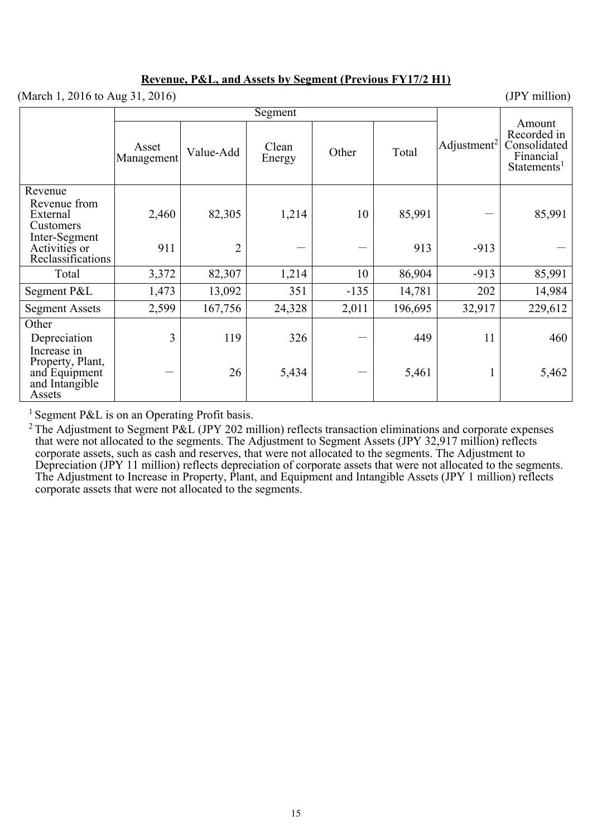### **Revenue, P&L, and Assets by Segment (Previous FY17/2 H1)**

| (March 1, 2016 to Aug 31, 2016)                          |                     |                |                 |        |         |                         | (JPY million)                                                                 |
|----------------------------------------------------------|---------------------|----------------|-----------------|--------|---------|-------------------------|-------------------------------------------------------------------------------|
|                                                          |                     | Segment        |                 |        |         |                         |                                                                               |
|                                                          | Asset<br>Management | Value-Add      | Clean<br>Energy | Other  | Total   | Adjustment <sup>2</sup> | Amount<br>Recorded in<br>Consolidated<br>Financial<br>Statements <sup>1</sup> |
| Revenue                                                  |                     |                |                 |        |         |                         |                                                                               |
| Revenue from<br>External<br>Customers                    | 2,460               | 82,305         | 1,214           | 10     | 85,991  |                         | 85,991                                                                        |
| Inter-Segment<br>Activities or<br>Reclassifications      | 911                 | $\overline{2}$ |                 |        | 913     | $-913$                  |                                                                               |
| Total                                                    | 3,372               | 82,307         | 1,214           | 10     | 86,904  | $-913$                  | 85,991                                                                        |
| Segment P&L                                              | 1,473               | 13,092         | 351             | $-135$ | 14,781  | 202                     | 14,984                                                                        |
| <b>Segment Assets</b>                                    | 2,599               | 167,756        | 24,328          | 2,011  | 196,695 | 32,917                  | 229,612                                                                       |
| Other<br>Depreciation<br>Increase in<br>Property, Plant, | $\overline{3}$      | 119            | 326             |        | 449     | 11                      | 460                                                                           |
| and Equipment<br>and Intangible<br>Assets                |                     | 26             | 5,434           |        | 5,461   | $\mathbf 1$             | 5,462                                                                         |

<sup>1</sup> Segment P&L is on an Operating Profit basis.

<sup>2</sup> The Adjustment to Segment P&L (JPY 202 million) reflects transaction eliminations and corporate expenses that were not allocated to the segments. The Adjustment to Segment Assets (JPY 32,917 million) reflects corporate assets, such as cash and reserves, that were not allocated to the segments. The Adjustment to Depreciation (JPY 11 million) reflects depreciation of corporate assets that were not allocated to the segments. The Adjustment to Increase in Property, Plant, and Equipment and Intangible Assets (JPY 1 million) reflects corporate assets that were not allocated to the segments.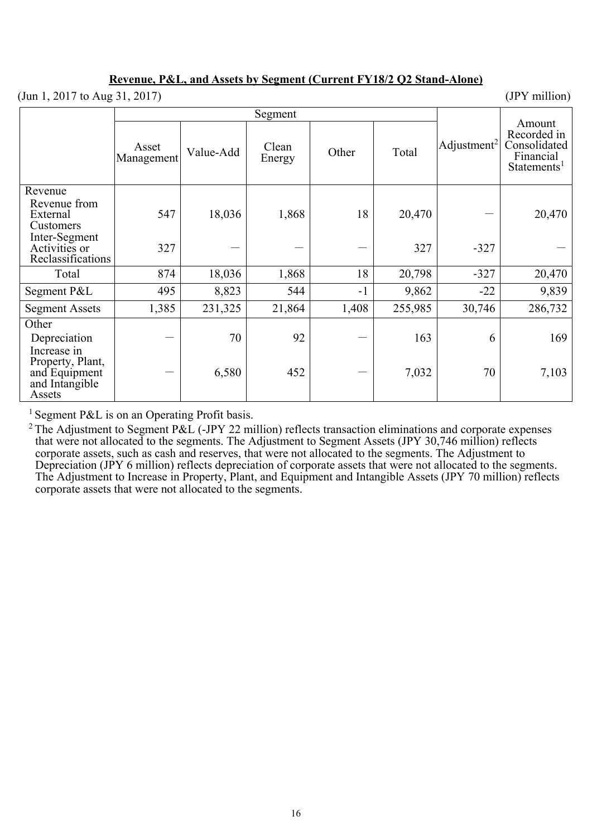### **Revenue, P&L, and Assets by Segment (Current FY18/2 Q2 Stand-Alone)**

(Jun 1, 2017 to Aug 31, 2017) (JPY million)

Segment Adjustment<sup>2</sup> Amount Recorded in Consolidated Financial Statements<sup>1</sup> Asset Asset<br>Management Value-Add Energy Energy Other Total Revenue Revenue from External Customers  $547$  18,036 1,868 18 20,470 - 20,470 Inter-Segment Activities or Reclassifications  $327$   $327$   $-327$   $-$ Total | 874 | 18,036 | 1,868 | 18 20,798 | 327 | 20,470 Segment P&L  $\begin{array}{|c|c|c|c|c|c|c|c|c|} \hline \end{array}$  495 8,823 544 -1 9,862 -22 -22 9,839 Segment Assets 1,385 231,325 21,864 1,408 255,985 30,746 286,732 **Other** Depreciation  $-| 70 | 92 | - | 163 | 6 | 169$ Increase in Property, Plant, and Equipment and Intangible Assets  $-$  6,580 452 - 7,032 70 7,103

<sup>1</sup> Segment P&L is on an Operating Profit basis.

<sup>2</sup> The Adjustment to Segment P&L (-JPY 22 million) reflects transaction eliminations and corporate expenses that were not allocated to the segments. The Adjustment to Segment Assets (JPY 30,746 million) reflects corporate assets, such as cash and reserves, that were not allocated to the segments. The Adjustment to Depreciation (JPY 6 million) reflects depreciation of corporate assets that were not allocated to the segments. The Adjustment to Increase in Property, Plant, and Equipment and Intangible Assets (JPY 70 million) reflects corporate assets that were not allocated to the segments.